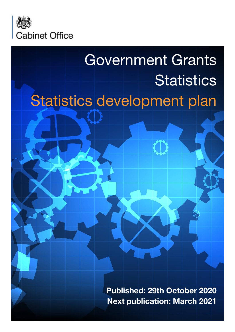

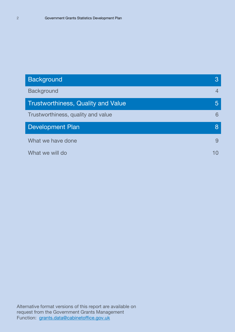| <b>Background</b>                         | 3              |
|-------------------------------------------|----------------|
| <b>Background</b>                         | $\overline{4}$ |
| <b>Trustworthiness, Quality and Value</b> | 5              |
| Trustworthiness, quality and value        | 6              |
| <b>Development Plan</b>                   | 8              |
| What we have done                         | 9              |
| What we will do                           | 10             |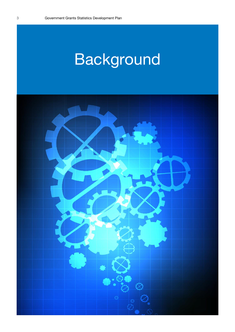# Background

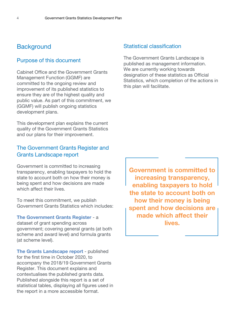### **Background**

#### Purpose of this document

Cabinet Office and the Government Grants Management Function (GGMF) are committed to the ongoing review and improvement of its published statistics to ensure they are of the highest quality and public value. As part of this commitment, we (GGMF) will publish ongoing statistics development plans.

This development plan explains the current quality of the Government Grants Statistics and our plans for their improvement.

#### The Government Grants Register and Grants Landscape report

Government is committed to increasing transparency, enabling taxpayers to hold the state to account both on how their money is being spent and how decisions are made which affect their lives.

To meet this commitment, we publish Government Grants Statistics which includes:

**The Government Grants Register** - a

dataset of grant spending across government; covering general grants (at both scheme and award level) and formula grants (at scheme level).

**The Grants Landscape report** - published for the first time in October 2020, to accompany the 2018/19 Government Grants Register. This document explains and contextualises the published grants data. Published alongside this report is a set of statistical tables, displaying all figures used in the report in a more accessible format.

#### Statistical classification

The Government Grants Landscape is published as management information. We are currently working towards designation of these statistics as Official Statistics, which completion of the actions in this plan will facilitate.

**Government is committed to increasing transparency, enabling taxpayers to hold the state to account both on how their money is being spent and how decisions are made which affect their lives.**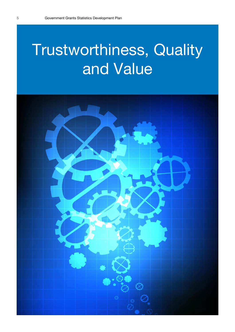# Trustworthiness, Quality and Value

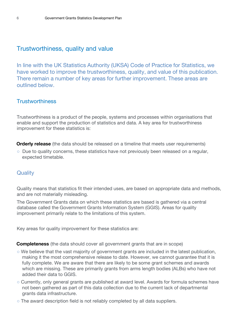### Trustworthiness, quality and value

In line with the UK Statistics Authority (UKSA) Code of Practice for Statistics, we have worked to improve the trustworthiness, quality, and value of this publication. There remain a number of key areas for further improvement. These areas are outlined below.

#### **Trustworthiness**

Trustworthiness is a product of the people, systems and processes within organisations that enable and support the production of statistics and data. A key area for trustworthiness improvement for these statistics is:

**Orderly release** (the data should be released on a timeline that meets user requirements)

○ Due to quality concerns, these statistics have not previously been released on a regular, expected timetable.

#### **Quality**

Quality means that statistics fit their intended uses, are based on appropriate data and methods, and are not materially misleading.

The Government Grants data on which these statistics are based is gathered via a central database called the Government Grants Information System (GGIS). Areas for quality improvement primarily relate to the limitations of this system.

Key areas for quality improvement for these statistics are:

**Completeness** (the data should cover all government grants that are in scope)

- We believe that the vast majority of government grants are included in the latest publication, making it the most comprehensive release to date. However, we cannot guarantee that it is fully complete. We are aware that there are likely to be some grant schemes and awards which are missing. These are primarily grants from arms length bodies (ALBs) who have not added their data to GGIS.
- o Currently, only general grants are published at award level. Awards for formula schemes have not been gathered as part of this data collection due to the current lack of departmental grants data infrastructure.
- The award description field is not reliably completed by all data suppliers.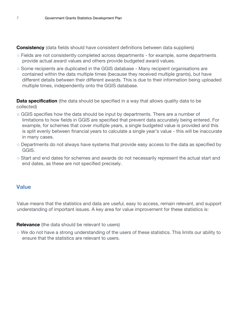**Consistency** (data fields should have consistent definitions between data suppliers)

- Fields are not consistently completed across departments for example, some departments provide actual award values and others provide budgeted award values.
- Some recipients are duplicated in the GGIS database Many recipient organisations are contained within the data multiple times (because they received multiple grants), but have different details between their different awards. This is due to their information being uploaded multiple times, independently onto the GGIS database.

**Data specification** (the data should be specified in a way that allows quality data to be collected)

- GGIS specifies how the data should be input by departments. There are a number of limitations to how fields in GGIS are specified that prevent data accurately being entered. For example, for schemes that cover multiple years, a single budgeted value is provided and this is split evenly between financial years to calculate a single year's value - this will be inaccurate in many cases.
- Departments do not always have systems that provide easy access to the data as specified by GGIS.
- Start and end dates for schemes and awards do not necessarily represent the actual start and end dates, as these are not specified precisely.

#### **Value**

Value means that the statistics and data are useful, easy to access, remain relevant, and support understanding of important issues. A key area for value improvement for these statistics is:

**Relevance** (the data should be relevant to users)

○ We do not have a strong understanding of the users of these statistics. This limits our ability to ensure that the statistics are relevant to users.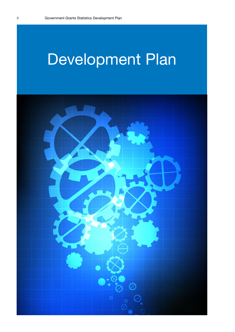# Development Plan

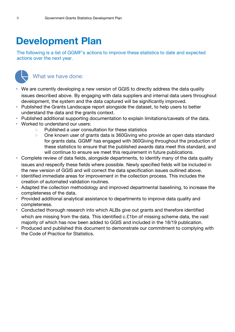## **Development Plan**

The following is a list of GGMF's actions to improve these statistics to date and expected actions over the next year.



### What we have done:

- We are currently developing a new version of GGIS to directly address the data quality issues described above. By engaging with data suppliers and internal data users throughout development, the system and the data captured will be significantly improved.
- Published the Grants Landscape report alongside the dataset, to help users to better understand the data and the grants context.
- Published additional supporting documentation to explain limitations/caveats of the data.
- Worked to understand our users:
	- Published a user consultation for these statistics
	- One known user of grants data is 360Giving who provide an open data standard for grants data. GGMF has engaged with 360Giving throughout the production of these statistics to ensure that the published awards data meet this standard, and will continue to ensure we meet this requirement in future publications.
- Complete review of data fields, alongside departments, to identify many of the data quality issues and respecify these fields where possible. Newly specified fields will be included in the new version of GGIS and will correct the data specification issues outlined above.
- Identified immediate areas for improvement in the collection process. This includes the creation of automated validation routines.
- Adapted the collection methodology and improved departmental baselining, to increase the completeness of the data.
- Provided additional analytical assistance to departments to improve data quality and completeness.
- Conducted thorough research into which ALBs give out grants and therefore identified which are missing from the data. This identified c.£1bn of missing scheme data, the vast majority of which has now been added to GGIS and included in the 18/19 publication.
- Produced and published this document to demonstrate our commitment to complying with the Code of Practice for Statistics.